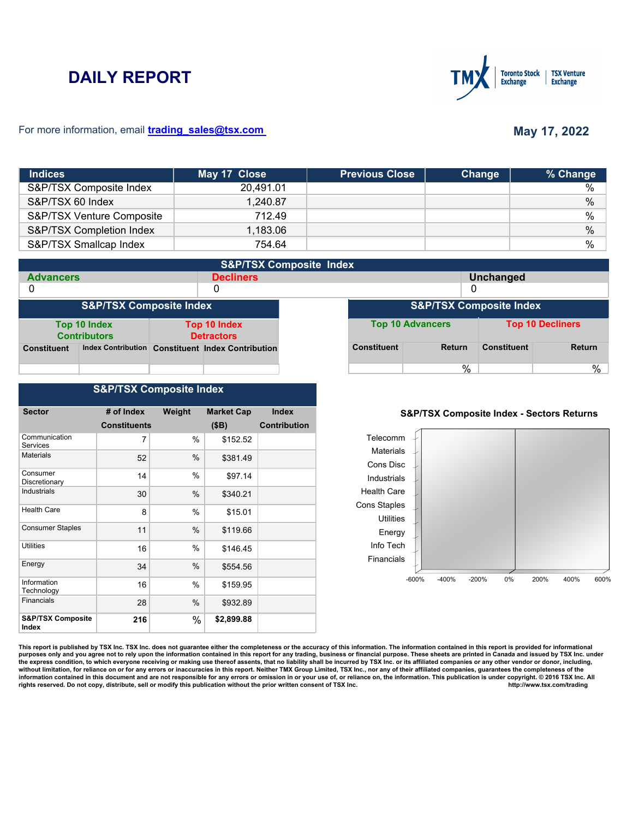# **DAILY REPORT**



### For more information, email **trading\_sales@tsx.com**

# **May 17, 2022**

| <b>Indices</b>            | May 17 Close | <b>Previous Close</b> | Change | % Change      |
|---------------------------|--------------|-----------------------|--------|---------------|
| S&P/TSX Composite Index   | 20.491.01    |                       |        | %             |
| S&P/TSX 60 Index          | 1,240.87     |                       |        | $\%$          |
| S&P/TSX Venture Composite | 712.49       |                       |        | $\frac{0}{0}$ |
| S&P/TSX Completion Index  | 1,183.06     |                       |        | $\%$          |
| S&P/TSX Smallcap Index    | 754.64       |                       |        | %             |

| <b>S&amp;P/TSX Composite Index</b> |                                     |                                          |                                                   |                                    |                         |               |                         |               |
|------------------------------------|-------------------------------------|------------------------------------------|---------------------------------------------------|------------------------------------|-------------------------|---------------|-------------------------|---------------|
| <b>Advancers</b>                   |                                     |                                          | <b>Decliners</b>                                  |                                    | Unchanged               |               |                         |               |
| 0                                  |                                     |                                          | 0                                                 |                                    |                         |               | 0                       |               |
| <b>S&amp;P/TSX Composite Index</b> |                                     |                                          |                                                   | <b>S&amp;P/TSX Composite Index</b> |                         |               |                         |               |
|                                    | Top 10 Index<br><b>Contributors</b> | <b>Top 10 Index</b><br><b>Detractors</b> |                                                   |                                    | <b>Top 10 Advancers</b> |               | <b>Top 10 Decliners</b> |               |
| <b>Constituent</b>                 |                                     |                                          | Index Contribution Constituent Index Contribution |                                    | <b>Constituent</b>      | <b>Return</b> | <b>Constituent</b>      | <b>Return</b> |
|                                    |                                     |                                          |                                                   |                                    |                         | $\%$          |                         | %             |

## **S&P/TSX Composite Index**

| <b>Sector</b>                         | # of Index          | Weight | <b>Market Cap</b> | <b>Index</b>        |
|---------------------------------------|---------------------|--------|-------------------|---------------------|
|                                       | <b>Constituents</b> |        | (SB)              | <b>Contribution</b> |
| Communication<br><b>Services</b>      | 7                   | %      | \$152.52          |                     |
| <b>Materials</b>                      | 52                  | $\%$   | \$381.49          |                     |
| Consumer<br>Discretionary             | 14                  | $\%$   | \$97.14           |                     |
| <b>Industrials</b>                    | 30                  | %      | \$340.21          |                     |
| <b>Health Care</b>                    | 8                   | $\%$   | \$15.01           |                     |
| <b>Consumer Staples</b>               | 11                  | %      | \$119.66          |                     |
| <b>Utilities</b>                      | 16                  | $\%$   | \$146.45          |                     |
| Energy                                | 34                  | $\%$   | \$554.56          |                     |
| Information<br>Technology             | 16                  | %      | \$159.95          |                     |
| <b>Financials</b>                     | 28                  | %      | \$932.89          |                     |
| <b>S&amp;P/TSX Composite</b><br>Index | 216                 | %      | \$2,899.88        |                     |

### **S&P/TSX Composite Index - Sectors Returns**



This report is published by TSX Inc. TSX Inc. does not guarantee either the completeness or the accuracy of this information. The information contained in this report is provided for informational **purposes only and you agree not to rely upon the information contained in this report for any trading, business or financial purpose. These sheets are printed in Canada and issued by TSX Inc. under**  the express condition, to which everyone receiving or making use thereof assents, that no liability shall be incurred by TSX Inc. or its affiliated companies or any other vendor or donor, including,<br>without limitation, for information contained in this document and are not responsible for any errors or omission in or your use of, or reliance on, the information. This publication is under copyright. © 2016 TSX Inc. All <br>
rights reserved. Do n rights reserved. Do not copy, distribute, sell or modify this publication without the prior written consent of TSX Inc.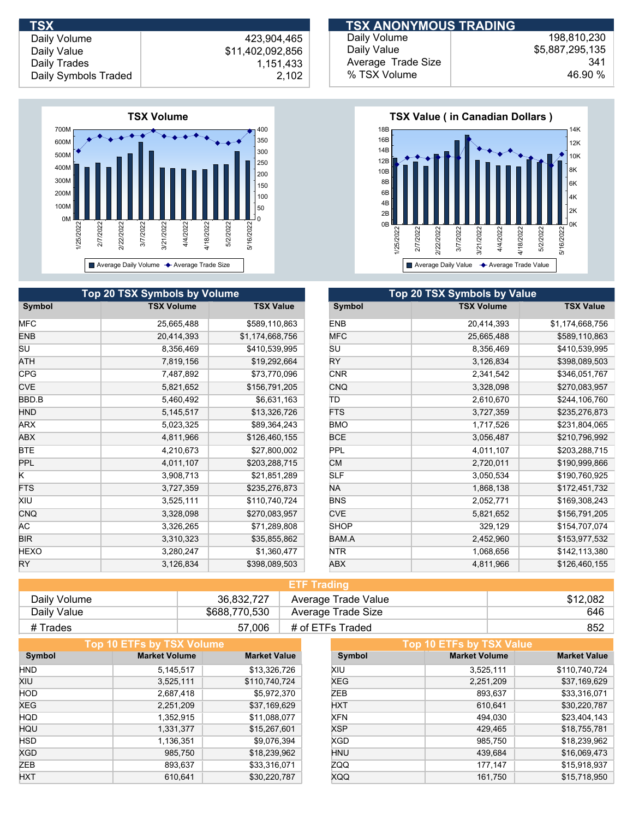

|             | Top 20 TSX Symbols by Volume |                  |             | <b>Top 20 TSX Symbols by Value</b> |
|-------------|------------------------------|------------------|-------------|------------------------------------|
| Symbol      | <b>TSX Volume</b>            | <b>TSX Value</b> | Symbol      | <b>TSX Volume</b>                  |
| <b>MFC</b>  | 25,665,488                   | \$589,110,863    | <b>ENB</b>  | 20,414,393                         |
| <b>ENB</b>  | 20,414,393                   | \$1,174,668,756  | <b>MFC</b>  | 25,665,488                         |
| SU          | 8,356,469                    | \$410,539,995    | SU          | 8,356,469                          |
| ATH         | 7,819,156                    | \$19,292,664     | RY          | 3,126,834                          |
| <b>CPG</b>  | 7,487,892                    | \$73,770,096     | <b>CNR</b>  | 2,341,542                          |
| <b>CVE</b>  | 5,821,652                    | \$156,791,205    | <b>CNQ</b>  | 3,328,098                          |
| BBD.B       | 5,460,492                    | \$6,631,163      | ΙTD         | 2,610,670                          |
| <b>HND</b>  | 5,145,517                    | \$13,326,726     | <b>FTS</b>  | 3,727,359                          |
| ARX         | 5,023,325                    | \$89,364,243     | <b>BMO</b>  | 1,717,526                          |
| ABX         | 4,811,966                    | \$126,460,155    | <b>BCE</b>  | 3,056,487                          |
| BTE         | 4,210,673                    | \$27,800,002     | PPL         | 4,011,107                          |
| PPL         | 4,011,107                    | \$203,288,715    | <b>CM</b>   | 2,720,011                          |
| Κ           | 3,908,713                    | \$21,851,289     | SLF         | 3,050,534                          |
| <b>FTS</b>  | 3,727,359                    | \$235,276,873    | NA.         | 1,868,138                          |
| XIU         | 3,525,111                    | \$110,740,724    | <b>BNS</b>  | 2,052,771                          |
| CNQ         | 3,328,098                    | \$270,083,957    | <b>CVE</b>  | 5,821,652                          |
| AС          | 3,326,265                    | \$71,289,808     | <b>SHOP</b> | 329,129                            |
| <b>BIR</b>  | 3,310,323                    | \$35,855,862     | BAM.A       | 2,452,960                          |
| <b>HEXO</b> | 3,280,247                    | \$1,360,477      | <b>NTR</b>  | 1,068,656                          |
| <b>RY</b>   | 3,126,834                    | \$398,089,503    | <b>ABX</b>  | 4,811,966                          |

| <b>TSX</b>           |                  | <b>TSX ANONYMOUS TRADING</b> |                 |
|----------------------|------------------|------------------------------|-----------------|
| Daily Volume         | 423.904.465      | Daily Volume                 | 198.810.230     |
| Daily Value          | \$11,402,092,856 | Daily Value                  | \$5,887,295,135 |
| Daily Trades         | 1.151.433        | Average Trade Size           | 341             |
| Daily Symbols Traded | 2,102            | % TSX Volume                 | 46.90 %         |



| <b>Top 20 TSX Symbols by Value</b> |                   |                  |  |  |  |
|------------------------------------|-------------------|------------------|--|--|--|
| Symbol                             | <b>TSX Volume</b> | <b>TSX Value</b> |  |  |  |
| <b>ENB</b>                         | 20,414,393        | \$1,174,668,756  |  |  |  |
| <b>MFC</b>                         | 25,665,488        | \$589,110,863    |  |  |  |
| SU                                 | 8,356,469         | \$410,539,995    |  |  |  |
| RY                                 | 3,126,834         | \$398,089,503    |  |  |  |
| <b>CNR</b>                         | 2,341,542         | \$346,051,767    |  |  |  |
| <b>CNQ</b>                         | 3,328,098         | \$270,083,957    |  |  |  |
| ΤD                                 | 2,610,670         | \$244,106,760    |  |  |  |
| <b>FTS</b>                         | 3,727,359         | \$235,276,873    |  |  |  |
| <b>BMO</b>                         | 1,717,526         | \$231,804,065    |  |  |  |
| <b>BCE</b>                         | 3,056,487         | \$210,796,992    |  |  |  |
| PPL                                | 4,011,107         | \$203,288,715    |  |  |  |
| <b>CM</b>                          | 2,720,011         | \$190,999,866    |  |  |  |
| <b>SLF</b>                         | 3,050,534         | \$190,760,925    |  |  |  |
| NA.                                | 1,868,138         | \$172,451,732    |  |  |  |
| <b>BNS</b>                         | 2,052,771         | \$169,308,243    |  |  |  |
| <b>CVE</b>                         | 5,821,652         | \$156,791,205    |  |  |  |
| <b>SHOP</b>                        | 329,129           | \$154,707,074    |  |  |  |
| BAM.A                              | 2,452,960         | \$153,977,532    |  |  |  |
| <b>NTR</b>                         | 1,068,656         | \$142,113,380    |  |  |  |
| <b>ABX</b>                         | 4,811,966         | \$126,460,155    |  |  |  |

| <b>ETF Trading</b> |               |                     |          |  |
|--------------------|---------------|---------------------|----------|--|
| Daily Volume       | 36.832.727    | Average Trade Value | \$12,082 |  |
| Daily Value        | \$688,770,530 | Average Trade Size  | 646      |  |
| # Trades           | 57,006        | # of ETFs Traded    | 852      |  |

|            | Top 10 ETFs by TSX Volume |                     | Top 10 ETFs by TSX Value |                      |                     |  |
|------------|---------------------------|---------------------|--------------------------|----------------------|---------------------|--|
| Symbol     | <b>Market Volume</b>      | <b>Market Value</b> | Symbol                   | <b>Market Volume</b> | <b>Market Value</b> |  |
| <b>HND</b> | 5,145,517                 | \$13,326,726        | XIU                      | 3,525,111            | \$110,740,724       |  |
| XIU        | 3,525,111                 | \$110,740,724       | XEG                      | 2,251,209            | \$37,169,629        |  |
| <b>HOD</b> | 2,687,418                 | \$5,972,370         | ZEB                      | 893,637              | \$33,316,071        |  |
| <b>XEG</b> | 2,251,209                 | \$37,169,629        | <b>HXT</b>               | 610.641              | \$30,220,787        |  |
| <b>HQD</b> | 1,352,915                 | \$11,088,077        | <b>XFN</b>               | 494,030              | \$23,404,143        |  |
| HQU        | 1,331,377                 | \$15,267,601        | <b>XSP</b>               | 429,465              | \$18,755,781        |  |
| <b>HSD</b> | 1,136,351                 | \$9,076,394         | <b>XGD</b>               | 985.750              | \$18,239,962        |  |
| <b>XGD</b> | 985,750                   | \$18,239,962        | <b>HNU</b>               | 439,684              | \$16,069,473        |  |
| ZEB        | 893,637                   | \$33,316,071        | ZQQ                      | 177.147              | \$15,918,937        |  |
| <b>HXT</b> | 610,641                   | \$30,220,787        | XQQ                      | 161.750              | \$15,718,950        |  |